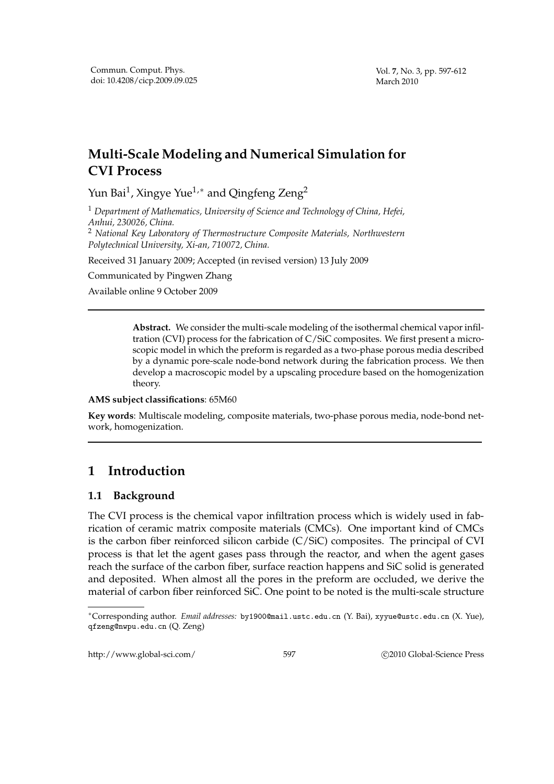# **Multi-Scale Modeling and Numerical Simulation for CVI Process**

Yun Bai $^1$ , Xingye Yue $^{1,\ast}$  and Qingfeng Zeng $^2$ 

<sup>1</sup> *Department of Mathematics, University of Science and Technology of China, Hefei, Anhui, 230026, China.* <sup>2</sup> *National Key Laboratory of Thermostructure Composite Materials, Northwestern*

*Polytechnical University, Xi-an, 710072, China.*

Received 31 January 2009; Accepted (in revised version) 13 July 2009

Communicated by Pingwen Zhang

Available online 9 October 2009

**Abstract.** We consider the multi-scale modeling of the isothermal chemical vapor infiltration (CVI) process for the fabrication of C/SiC composites. We first present a microscopic model in which the preform is regarded as a two-phase porous media described by a dynamic pore-scale node-bond network during the fabrication process. We then develop a macroscopic model by a upscaling procedure based on the homogenization theory.

**AMS subject classifications**: 65M60

**Key words**: Multiscale modeling, composite materials, two-phase porous media, node-bond network, homogenization.

# **1 Introduction**

## **1.1 Background**

The CVI process is the chemical vapor infiltration process which is widely used in fabrication of ceramic matrix composite materials (CMCs). One important kind of CMCs is the carbon fiber reinforced silicon carbide (C/SiC) composites. The principal of CVI process is that let the agent gases pass through the reactor, and when the agent gases reach the surface of the carbon fiber, surface reaction happens and SiC solid is generated and deposited. When almost all the pores in the preform are occluded, we derive the material of carbon fiber reinforced SiC. One point to be noted is the multi-scale structure

http://www.global-sci.com/ 597 c 2010 Global-Science Press

<sup>∗</sup>Corresponding author. *Email addresses:* by1900@mail.ustc.edu.cn (Y. Bai), xyyue@ustc.edu.cn (X. Yue), qfzeng@nwpu.edu.cn (Q. Zeng)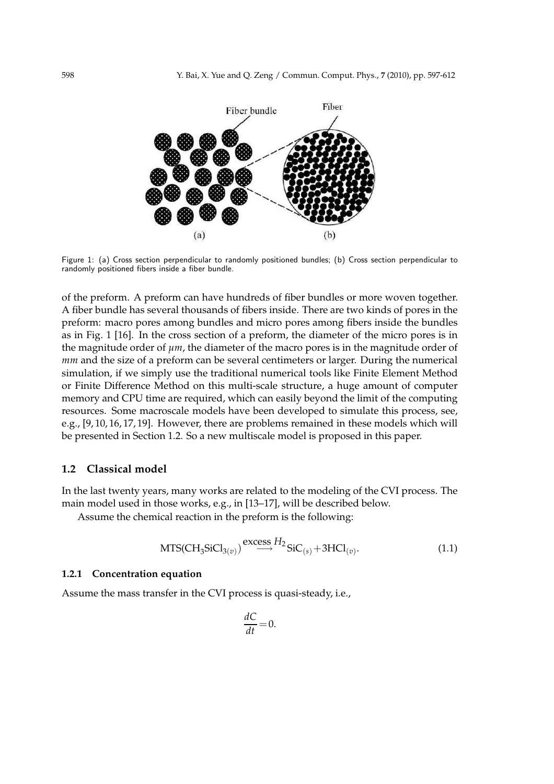

Figure 1: (a) Cross section perpendicular to randomly positioned bundles; (b) Cross section perpendicular to randomly positioned fibers inside a fiber bundle.

of the preform. A preform can have hundreds of fiber bundles or more woven together. A fiber bundle has several thousands of fibers inside. There are two kinds of pores in the preform: macro pores among bundles and micro pores among fibers inside the bundles as in Fig. 1 [16]. In the cross section of a preform, the diameter of the micro pores is in the magnitude order of *µm*, the diameter of the macro pores is in the magnitude order of *mm* and the size of a preform can be several centimeters or larger. During the numerical simulation, if we simply use the traditional numerical tools like Finite Element Method or Finite Difference Method on this multi-scale structure, a huge amount of computer memory and CPU time are required, which can easily beyond the limit of the computing resources. Some macroscale models have been developed to simulate this process, see, e.g., [9, 10, 16, 17, 19]. However, there are problems remained in these models which will be presented in Section 1.2. So a new multiscale model is proposed in this paper.

#### **1.2 Classical model**

In the last twenty years, many works are related to the modeling of the CVI process. The main model used in those works, e.g., in [13–17], will be described below.

Assume the chemical reaction in the preform is the following:

$$
MTS(CH_3SiCl_{3(v)}) \stackrel{\text{excess }H_2}{\longrightarrow} SiC_{(s)} + 3HCl_{(v)}.
$$
 (1.1)

#### **1.2.1 Concentration equation**

Assume the mass transfer in the CVI process is quasi-steady, i.e.,

$$
\frac{dC}{dt} = 0.
$$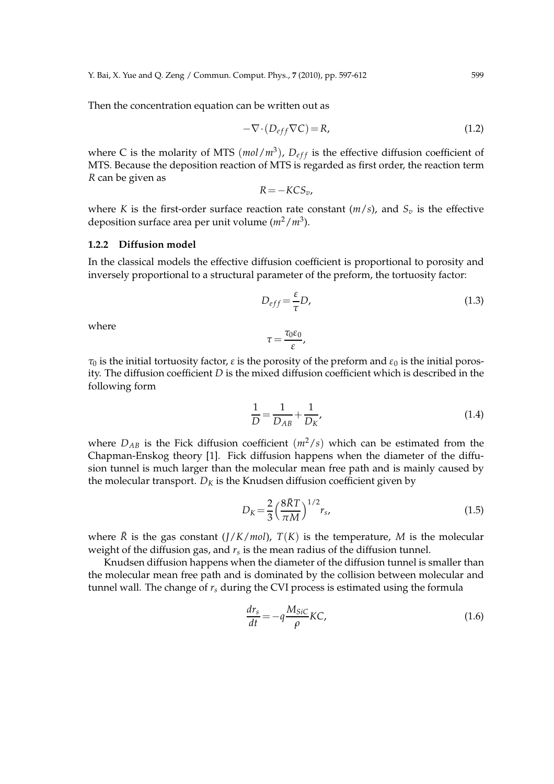Y. Bai, X. Yue and Q. Zeng / Commun. Comput. Phys., **7** (2010), pp. 597-612 599

Then the concentration equation can be written out as

$$
-\nabla \cdot (D_{eff}\nabla C) = R,\tag{1.2}
$$

where C is the molarity of MTS  $(mol/m<sup>3</sup>)$ ,  $D_{eff}$  is the effective diffusion coefficient of MTS. Because the deposition reaction of MTS is regarded as first order, the reaction term *R* can be given as

$$
R = -KCS_v,
$$

where *K* is the first-order surface reaction rate constant  $(m/s)$ , and  $S_v$  is the effective deposition surface area per unit volume ( $m^2/m^3$ ).

#### **1.2.2 Diffusion model**

In the classical models the effective diffusion coefficient is proportional to porosity and inversely proportional to a structural parameter of the preform, the tortuosity factor:

$$
D_{eff} = \frac{\varepsilon}{\tau} D,\tag{1.3}
$$

where

$$
\tau = \frac{\tau_0 \varepsilon_0}{\varepsilon},
$$

*τ*<sub>0</sub> is the initial tortuosity factor, *ε* is the porosity of the preform and  $ε$ <sub>0</sub> is the initial porosity. The diffusion coefficient *D* is the mixed diffusion coefficient which is described in the following form

$$
\frac{1}{D} = \frac{1}{D_{AB}} + \frac{1}{D_K},
$$
\n(1.4)

where  $D_{AB}$  is the Fick diffusion coefficient  $(m^2/s)$  which can be estimated from the Chapman-Enskog theory [1]. Fick diffusion happens when the diameter of the diffusion tunnel is much larger than the molecular mean free path and is mainly caused by the molecular transport.  $D_K$  is the Knudsen diffusion coefficient given by

$$
D_K = \frac{2}{3} \left(\frac{8\bar{R}T}{\pi M}\right)^{1/2} r_s,
$$
\n(1.5)

where  $\bar{R}$  is the gas constant ( $\frac{I}{K}$ /*mol*),  $T(K)$  is the temperature, *M* is the molecular weight of the diffusion gas, and *r<sup>s</sup>* is the mean radius of the diffusion tunnel.

Knudsen diffusion happens when the diameter of the diffusion tunnel is smaller than the molecular mean free path and is dominated by the collision between molecular and tunnel wall. The change of  $r<sub>s</sub>$  during the CVI process is estimated using the formula

$$
\frac{dr_s}{dt} = -q \frac{M_{SiC}}{\rho} KC,
$$
\n(1.6)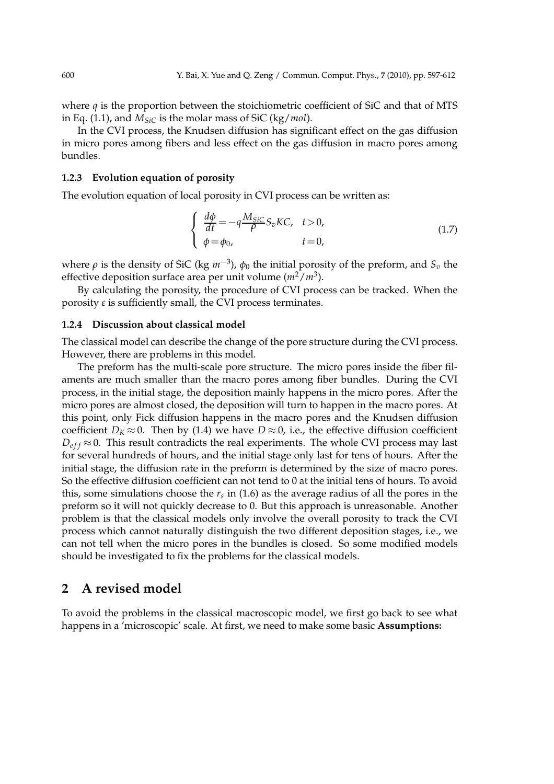where *q* is the proportion between the stoichiometric coefficient of SiC and that of MTS in Eq. (1.1), and *MSiC* is the molar mass of SiC (kg/*mol*).

In the CVI process, the Knudsen diffusion has significant effect on the gas diffusion in micro pores among fibers and less effect on the gas diffusion in macro pores among bundles.

### **1.2.3 Evolution equation of porosity**

The evolution equation of local porosity in CVI process can be written as:

$$
\begin{cases}\n\frac{d\phi}{dt} = -q \frac{M_{SiC}}{\rho} S_v K C, & t > 0, \\
\phi = \phi_0, & t = 0,\n\end{cases}\n\tag{1.7}
$$

where *ρ* is the density of SiC (kg *m*−<sup>3</sup> ), *φ*<sup>0</sup> the initial porosity of the preform, and *S<sup>v</sup>* the effective deposition surface area per unit volume ( $m^2/m^3$ ).

By calculating the porosity, the procedure of CVI process can be tracked. When the porosity  $\varepsilon$  is sufficiently small, the CVI process terminates.

### **1.2.4 Discussion about classical model**

The classical model can describe the change of the pore structure during the CVI process. However, there are problems in this model.

The preform has the multi-scale pore structure. The micro pores inside the fiber filaments are much smaller than the macro pores among fiber bundles. During the CVI process, in the initial stage, the deposition mainly happens in the micro pores. After the micro pores are almost closed, the deposition will turn to happen in the macro pores. At this point, only Fick diffusion happens in the macro pores and the Knudsen diffusion coefficient *D<sub>K</sub>*  $\approx$  0. Then by (1.4) we have *D*  $\approx$  0, i.e., the effective diffusion coefficient  $D_{eff} \approx 0$ . This result contradicts the real experiments. The whole CVI process may last for several hundreds of hours, and the initial stage only last for tens of hours. After the initial stage, the diffusion rate in the preform is determined by the size of macro pores. So the effective diffusion coefficient can not tend to 0 at the initial tens of hours. To avoid this, some simulations choose the *r<sup>s</sup>* in (1.6) as the average radius of all the pores in the preform so it will not quickly decrease to 0. But this approach is unreasonable. Another problem is that the classical models only involve the overall porosity to track the CVI process which cannot naturally distinguish the two different deposition stages, i.e., we can not tell when the micro pores in the bundles is closed. So some modified models should be investigated to fix the problems for the classical models.

## **2 A revised model**

To avoid the problems in the classical macroscopic model, we first go back to see what happens in a 'microscopic' scale. At first, we need to make some basic **Assumptions:**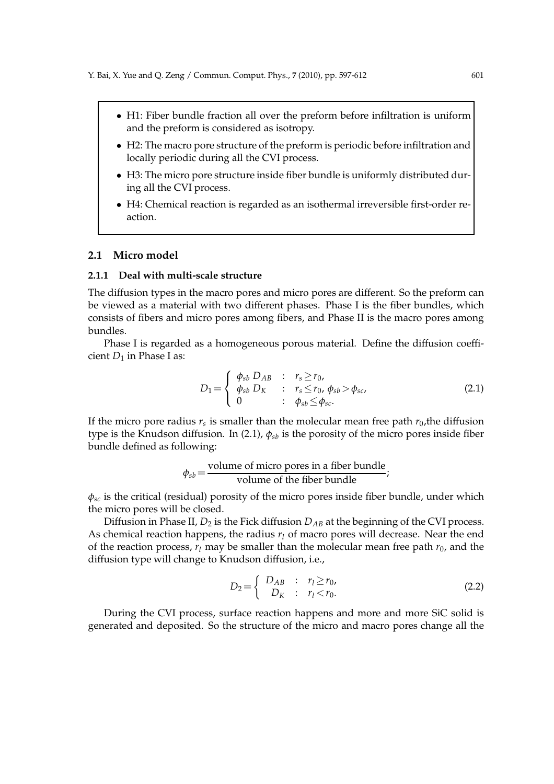- H1: Fiber bundle fraction all over the preform before infiltration is uniform and the preform is considered as isotropy.
- H2: The macro pore structure of the preform is periodic before infiltration and locally periodic during all the CVI process.
- H3: The micro pore structure inside fiber bundle is uniformly distributed during all the CVI process.
- H4: Chemical reaction is regarded as an isothermal irreversible first-order reaction.

#### **2.1 Micro model**

#### **2.1.1 Deal with multi-scale structure**

The diffusion types in the macro pores and micro pores are different. So the preform can be viewed as a material with two different phases. Phase I is the fiber bundles, which consists of fibers and micro pores among fibers, and Phase II is the macro pores among bundles.

Phase I is regarded as a homogeneous porous material. Define the diffusion coefficient  $D_1$  in Phase I as:

$$
D_1 = \left\{ \begin{array}{lcl} \phi_{sb} D_{AB} & : & r_s \ge r_0, \\ \phi_{sb} D_K & : & r_s \le r_0, \ \phi_{sb} > \phi_{sc}, \\ 0 & : & \phi_{sb} \le \phi_{sc}. \end{array} \right. \tag{2.1}
$$

If the micro pore radius  $r_s$  is smaller than the molecular mean free path  $r_0$ ,the diffusion type is the Knudson diffusion. In (2.1),  $\phi_{sb}$  is the porosity of the micro pores inside fiber bundle defined as following:

$$
\phi_{sb} = \frac{\text{volume of micro pores in a fiber bundle}}{\text{volume of the fiber bundle}};
$$

*φsc* is the critical (residual) porosity of the micro pores inside fiber bundle, under which the micro pores will be closed.

Diffusion in Phase II,  $D_2$  is the Fick diffusion  $D_{AB}$  at the beginning of the CVI process. As chemical reaction happens, the radius  $r_l$  of macro pores will decrease. Near the end of the reaction process,  $r_l$  may be smaller than the molecular mean free path  $r_0$ , and the diffusion type will change to Knudson diffusion, i.e.,

$$
D_2 = \begin{cases} D_{AB} & : r_l \ge r_0, \\ D_K & : r_l < r_0. \end{cases} \tag{2.2}
$$

During the CVI process, surface reaction happens and more and more SiC solid is generated and deposited. So the structure of the micro and macro pores change all the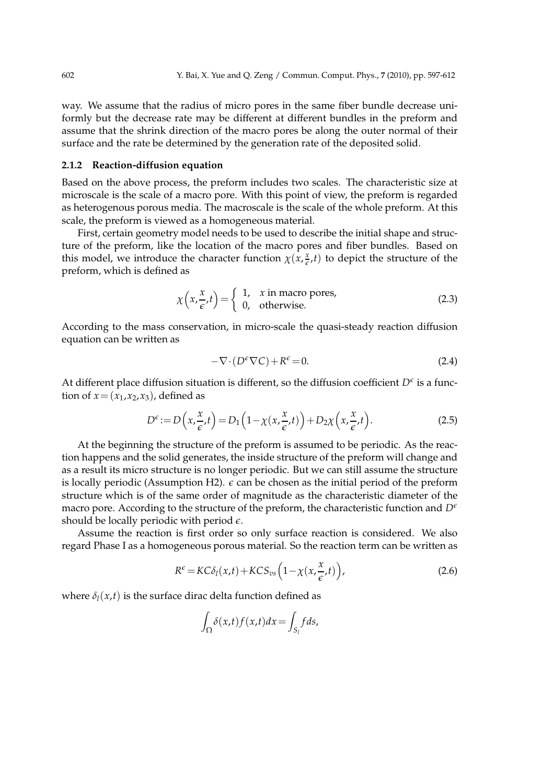way. We assume that the radius of micro pores in the same fiber bundle decrease uniformly but the decrease rate may be different at different bundles in the preform and assume that the shrink direction of the macro pores be along the outer normal of their surface and the rate be determined by the generation rate of the deposited solid.

#### **2.1.2 Reaction-diffusion equation**

Based on the above process, the preform includes two scales. The characteristic size at microscale is the scale of a macro pore. With this point of view, the preform is regarded as heterogenous porous media. The macroscale is the scale of the whole preform. At this scale, the preform is viewed as a homogeneous material.

First, certain geometry model needs to be used to describe the initial shape and structure of the preform, like the location of the macro pores and fiber bundles. Based on this model, we introduce the character function  $\chi(x)$ ,  $\frac{x}{c}$  $\frac{x}{\epsilon}$ ,*t*) to depict the structure of the preform, which is defined as

$$
\chi\left(x, \frac{x}{\epsilon}, t\right) = \begin{cases} 1, & x \text{ in macro pores,} \\ 0, & \text{otherwise.} \end{cases}
$$
 (2.3)

According to the mass conservation, in micro-scale the quasi-steady reaction diffusion equation can be written as

$$
-\nabla \cdot (D^{\epsilon}\nabla C) + R^{\epsilon} = 0.
$$
 (2.4)

At different place diffusion situation is different, so the diffusion coefficient  $D^{\epsilon}$  is a function of  $x = (x_1, x_2, x_3)$ , defined as

$$
D^{\epsilon} := D\left(x, \frac{x}{\epsilon}, t\right) = D_1\left(1 - \chi\left(x, \frac{x}{\epsilon}, t\right)\right) + D_2\chi\left(x, \frac{x}{\epsilon}, t\right). \tag{2.5}
$$

At the beginning the structure of the preform is assumed to be periodic. As the reaction happens and the solid generates, the inside structure of the preform will change and as a result its micro structure is no longer periodic. But we can still assume the structure is locally periodic (Assumption H2).  $\epsilon$  can be chosen as the initial period of the preform structure which is of the same order of magnitude as the characteristic diameter of the macro pore. According to the structure of the preform, the characteristic function and  $D^{\epsilon}$ should be locally periodic with period  $\epsilon$ .

Assume the reaction is first order so only surface reaction is considered. We also regard Phase I as a homogeneous porous material. So the reaction term can be written as

$$
R^{\epsilon} = KC\delta_l(x,t) + KCS_{vs}\left(1 - \chi(x,\frac{x}{\epsilon},t)\right),\tag{2.6}
$$

where  $\delta_l(x,t)$  is the surface dirac delta function defined as

$$
\int_{\Omega} \delta(x,t) f(x,t) dx = \int_{S_l} f ds,
$$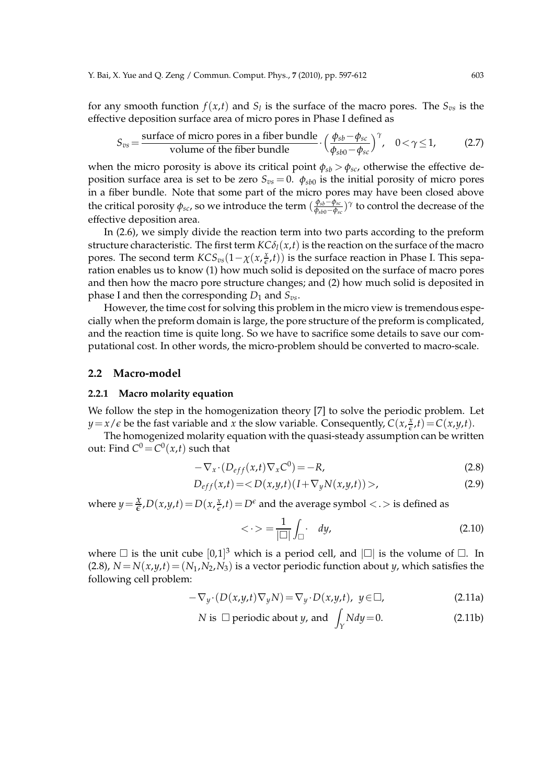for any smooth function  $f(x,t)$  and  $S_l$  is the surface of the macro pores. The  $S_{vs}$  is the effective deposition surface area of micro pores in Phase I defined as

$$
S_{\text{vs}} = \frac{\text{surface of micro pores in a fiber bundle}}{\text{volume of the fiber bundle}} \cdot \left(\frac{\phi_{\text{sb}} - \phi_{\text{sc}}}{\phi_{\text{sb0}} - \phi_{\text{sc}}}\right)^{\gamma}, \quad 0 < \gamma \le 1,
$$
 (2.7)

when the micro porosity is above its critical point  $\phi_{sb} > \phi_{sc}$ , otherwise the effective deposition surface area is set to be zero *Svs* = 0. *φsb*<sup>0</sup> is the initial porosity of micro pores in a fiber bundle. Note that some part of the micro pores may have been closed above the critical porosity *φsc*, so we introduce the term ( *φsb*−*φsc φsb*0−*φsc* ) *γ* to control the decrease of the effective deposition area.

In (2.6), we simply divide the reaction term into two parts according to the preform structure characteristic. The first term  $KC\delta_l(x,t)$  is the reaction on the surface of the macro pores. The second term  $KCS_{vs}(1-\chi(x))\frac{x}{\epsilon}$  $(\frac{x}{\epsilon},t))$  is the surface reaction in Phase I. This separation enables us to know (1) how much solid is deposited on the surface of macro pores and then how the macro pore structure changes; and (2) how much solid is deposited in phase I and then the corresponding  $D_1$  and  $S_{vs.}$ .

However, the time cost for solving this problem in the micro view is tremendous especially when the preform domain is large, the pore structure of the preform is complicated, and the reaction time is quite long. So we have to sacrifice some details to save our computational cost. In other words, the micro-problem should be converted to macro-scale.

#### **2.2 Macro-model**

#### **2.2.1 Macro molarity equation**

We follow the step in the homogenization theory [7] to solve the periodic problem. Let  $y = x/\epsilon$  be the fast variable and *x* the slow variable. Consequently,  $C(x, \frac{x}{\epsilon})$  $(\frac{x}{\epsilon}, t) = C(x, y, t).$ 

The homogenized molarity equation with the quasi-steady assumption can be written out: Find  $C^0$   $=$   $C^0(x,t)$  such that

$$
-\nabla_x \cdot (D_{eff}(x,t)\nabla_x C^0) = -R,\tag{2.8}
$$

$$
D_{eff}(x,t) = \langle D(x,y,t)(I + \nabla_y N(x,y,t)) \rangle,
$$
\n(2.9)

where  $y = \frac{x}{\epsilon}$ ,  $D(x, y, t) = D(x, \frac{x}{\epsilon})$  $\frac{x}{\epsilon}$ , *t*) =  $D^{\epsilon}$  and the average symbol < . > is defined as

$$
\langle \cdot \rangle = \frac{1}{|\square|} \int_{\square} \cdot dy, \tag{2.10}
$$

where  $\square$  is the unit cube  $[0,1]^3$  which is a period cell, and  $\square$  is the volume of  $\square$ . In (2.8),  $N = N(x, y, t) = (N_1, N_2, N_3)$  is a vector periodic function about *y*, which satisfies the following cell problem:

$$
-\nabla_y \cdot (D(x,y,t)\nabla_y N) = \nabla_y \cdot D(x,y,t), \ y \in \square,
$$
\n(2.11a)

$$
N
$$
 is  $\Box$  periodic about  $y$ , and  $\int_{Y} N dy = 0.$  (2.11b)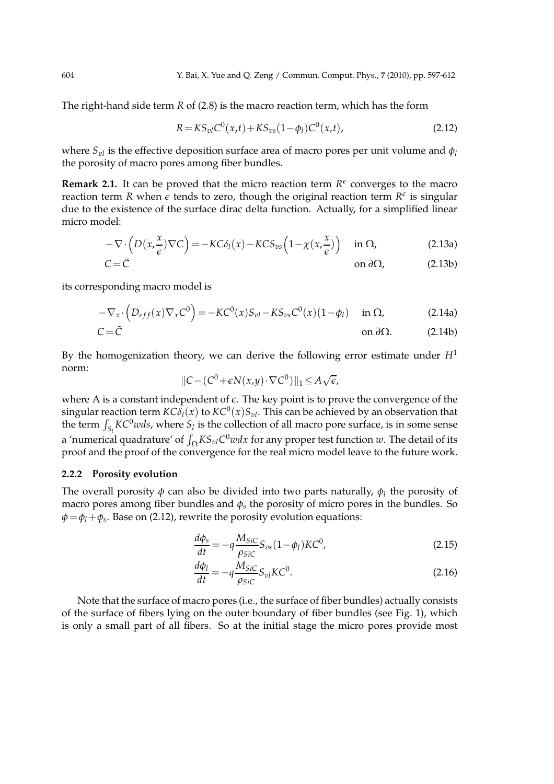The right-hand side term *R* of (2.8) is the macro reaction term, which has the form

$$
R = KS_{vl}C^{0}(x,t) + KS_{vs}(1-\phi_{l})C^{0}(x,t),
$$
\n(2.12)

where  $S_{\nu l}$  is the effective deposition surface area of macro pores per unit volume and  $\phi_l$ the porosity of macro pores among fiber bundles.

**Remark 2.1.** It can be proved that the micro reaction term  $R^{\epsilon}$  converges to the macro reaction term *R* when  $\epsilon$  tends to zero, though the original reaction term  $R^{\epsilon}$  is singular due to the existence of the surface dirac delta function. Actually, for a simplified linear micro model:

$$
-\nabla \cdot \left(D(x,\frac{x}{\epsilon})\nabla C\right) = -KC\delta_l(x) - KC S_{vs}\left(1 - \chi(x,\frac{x}{\epsilon})\right) \quad \text{in } \Omega,\tag{2.13a}
$$

$$
C = \tilde{C}
$$
 on  $\partial \Omega$ , (2.13b)

its corresponding macro model is

$$
-\nabla_x \cdot \left(D_{eff}(x)\nabla_x C^0\right) = -KC^0(x)S_{vl} - KS_{vs}C^0(x)(1-\phi_l) \quad \text{in } \Omega,\tag{2.14a}
$$

$$
C = \tilde{C}
$$
 on  $\partial \Omega$ . (2.14b)

By the homogenization theory, we can derive the following error estimate under *H*<sup>1</sup> norm:

$$
||C - (C^0 + \epsilon N(x, y) \cdot \nabla C^0)||_1 \le A \sqrt{\epsilon},
$$

where A is a constant independent of  $\epsilon$ . The key point is to prove the convergence of the  $\sup$  singular reaction term  $\mathcal{K}C\delta_l(x)$  to  $\mathcal{K}C^0(x)S_{vl}.$  This can be achieved by an observation that the term  $\int_{S_l} KC^0 w ds$ , where  $S_l$  is the collection of all macro pore surface, is in some sense a 'numerical quadrature' of  $\int_\Omega K S_{vl}C^0wdx$  for any proper test function  $w.$  The detail of its proof and the proof of the convergence for the real micro model leave to the future work.

#### **2.2.2 Porosity evolution**

The overall porosity *φ* can also be divided into two parts naturally, *φ<sup>l</sup>* the porosity of macro pores among fiber bundles and  $\phi_s$  the porosity of micro pores in the bundles. So *φ*=*φl*+*φ<sup>s</sup>* . Base on (2.12), rewrite the porosity evolution equations:

$$
\frac{d\phi_s}{dt} = -q \frac{M_{SiC}}{\rho_{SiC}} S_{vs} (1 - \phi_l) K C^0,
$$
\n(2.15)

$$
\frac{d\phi_l}{dt} = -q \frac{M_{SiC}}{\rho_{SiC}} S_{vl} K C^0.
$$
\n(2.16)

Note that the surface of macro pores (i.e., the surface of fiber bundles) actually consists of the surface of fibers lying on the outer boundary of fiber bundles (see Fig. 1), which is only a small part of all fibers. So at the initial stage the micro pores provide most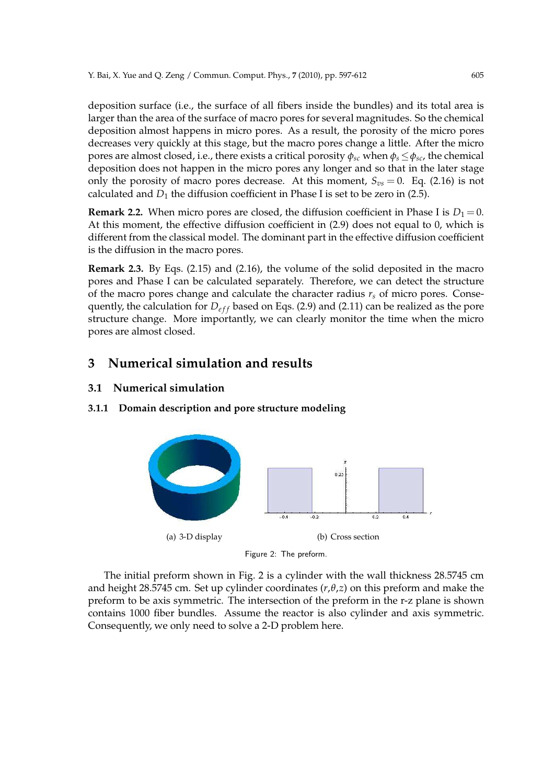deposition surface (i.e., the surface of all fibers inside the bundles) and its total area is larger than the area of the surface of macro pores for several magnitudes. So the chemical deposition almost happens in micro pores. As a result, the porosity of the micro pores decreases very quickly at this stage, but the macro pores change a little. After the micro pores are almost closed, i.e., there exists a critical porosity  $\phi_{sc}$  when  $\phi_s \leq \phi_{sc}$ , the chemical deposition does not happen in the micro pores any longer and so that in the later stage only the porosity of macro pores decrease. At this moment,  $S_{vs} = 0$ . Eq. (2.16) is not calculated and  $D_1$  the diffusion coefficient in Phase I is set to be zero in (2.5).

**Remark 2.2.** When micro pores are closed, the diffusion coefficient in Phase I is  $D_1 = 0$ . At this moment, the effective diffusion coefficient in (2.9) does not equal to 0, which is different from the classical model. The dominant part in the effective diffusion coefficient is the diffusion in the macro pores.

**Remark 2.3.** By Eqs. (2.15) and (2.16), the volume of the solid deposited in the macro pores and Phase I can be calculated separately. Therefore, we can detect the structure of the macro pores change and calculate the character radius  $r<sub>s</sub>$  of micro pores. Consequently, the calculation for  $D_{eff}$  based on Eqs. (2.9) and (2.11) can be realized as the pore structure change. More importantly, we can clearly monitor the time when the micro pores are almost closed.

# **3 Numerical simulation and results**

### **3.1 Numerical simulation**

### **3.1.1 Domain description and pore structure modeling**



Figure 2: The preform.

The initial preform shown in Fig. 2 is a cylinder with the wall thickness 28.5745 cm and height 28.5745 cm. Set up cylinder coordinates (*r*,*θ*,*z*) on this preform and make the preform to be axis symmetric. The intersection of the preform in the r-z plane is shown contains 1000 fiber bundles. Assume the reactor is also cylinder and axis symmetric. Consequently, we only need to solve a 2-D problem here.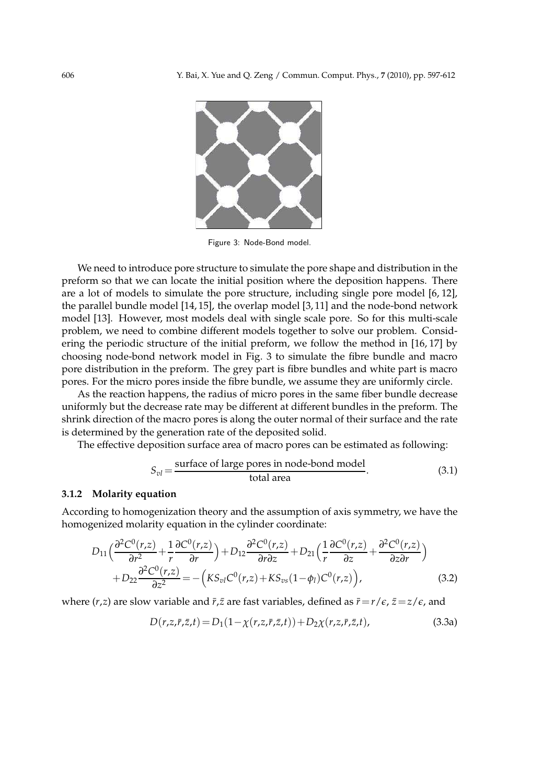

Figure 3: Node-Bond model.

We need to introduce pore structure to simulate the pore shape and distribution in the preform so that we can locate the initial position where the deposition happens. There are a lot of models to simulate the pore structure, including single pore model [6, 12], the parallel bundle model [14, 15], the overlap model [3, 11] and the node-bond network model [13]. However, most models deal with single scale pore. So for this multi-scale problem, we need to combine different models together to solve our problem. Considering the periodic structure of the initial preform, we follow the method in [16, 17] by choosing node-bond network model in Fig. 3 to simulate the fibre bundle and macro pore distribution in the preform. The grey part is fibre bundles and white part is macro pores. For the micro pores inside the fibre bundle, we assume they are uniformly circle.

As the reaction happens, the radius of micro pores in the same fiber bundle decrease uniformly but the decrease rate may be different at different bundles in the preform. The shrink direction of the macro pores is along the outer normal of their surface and the rate is determined by the generation rate of the deposited solid.

The effective deposition surface area of macro pores can be estimated as following:

$$
S_{vl} = \frac{\text{surface of large pores in node-bond model}}{\text{total area}}.
$$
 (3.1)

### **3.1.2 Molarity equation**

According to homogenization theory and the assumption of axis symmetry, we have the homogenized molarity equation in the cylinder coordinate:

$$
D_{11}\left(\frac{\partial^2 C^0(r,z)}{\partial r^2} + \frac{1}{r}\frac{\partial C^0(r,z)}{\partial r}\right) + D_{12}\frac{\partial^2 C^0(r,z)}{\partial r\partial z} + D_{21}\left(\frac{1}{r}\frac{\partial C^0(r,z)}{\partial z} + \frac{\partial^2 C^0(r,z)}{\partial z\partial r}\right) + D_{22}\frac{\partial^2 C^0(r,z)}{\partial z^2} = -\left(KS_{vl}C^0(r,z) + KS_{vs}(1-\phi_l)C^0(r,z)\right),
$$
(3.2)

where  $(r, z)$  are slow variable and  $\bar{r}, \bar{z}$  are fast variables, defined as  $\bar{r} = r/\epsilon$ ,  $\bar{z} = z/\epsilon$ , and

$$
D(r, z, \bar{r}, \bar{z}, t) = D_1(1 - \chi(r, z, \bar{r}, \bar{z}, t)) + D_2\chi(r, z, \bar{r}, \bar{z}, t),
$$
\n(3.3a)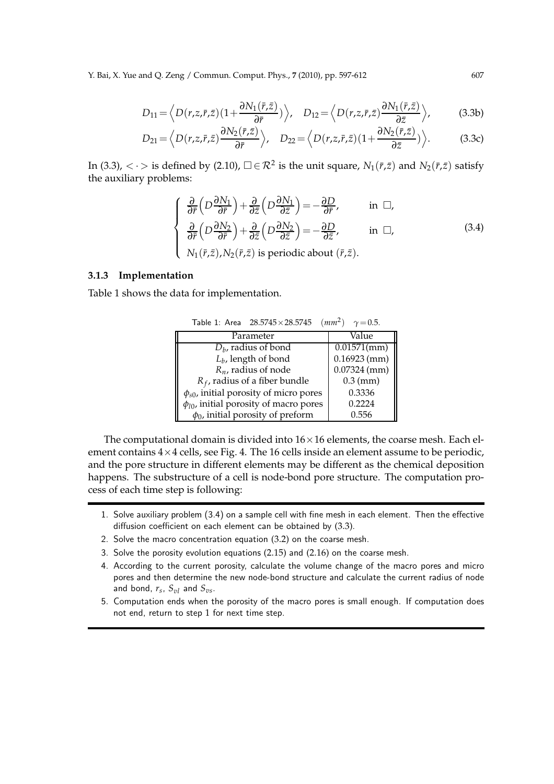Y. Bai, X. Yue and Q. Zeng / Commun. Comput. Phys., **7** (2010), pp. 597-612 607

$$
D_{11} = \left\langle D(r, z, \bar{r}, \bar{z}) \left(1 + \frac{\partial N_1(\bar{r}, \bar{z})}{\partial \bar{r}}\right) \right\rangle, \quad D_{12} = \left\langle D(r, z, \bar{r}, \bar{z}) \frac{\partial N_1(\bar{r}, \bar{z})}{\partial \bar{z}} \right\rangle, \tag{3.3b}
$$

$$
D_{21} = \left\langle D(r, z, \bar{r}, \bar{z}) \frac{\partial N_2(\bar{r}, \bar{z})}{\partial \bar{r}} \right\rangle, \quad D_{22} = \left\langle D(r, z, \bar{r}, \bar{z}) \left(1 + \frac{\partial N_2(\bar{r}, \bar{z})}{\partial \bar{z}}\right) \right\rangle. \tag{3.3c}
$$

In (3.3),  $\langle \cdot \rangle$  is defined by (2.10),  $\Box \in \mathcal{R}^2$  is the unit square,  $N_1(\bar{r}, \bar{z})$  and  $N_2(\bar{r}, \bar{z})$  satisfy the auxiliary problems:

$$
\begin{cases}\n\frac{\partial}{\partial \bar{r}}\left(D\frac{\partial N_1}{\partial \bar{r}}\right) + \frac{\partial}{\partial \bar{z}}\left(D\frac{\partial N_1}{\partial \bar{z}}\right) = -\frac{\partial D}{\partial \bar{r}}, & \text{in } \Box, \\
\frac{\partial}{\partial \bar{r}}\left(D\frac{\partial N_2}{\partial \bar{r}}\right) + \frac{\partial}{\partial \bar{z}}\left(D\frac{\partial N_2}{\partial \bar{z}}\right) = -\frac{\partial D}{\partial \bar{z}}, & \text{in } \Box, \\
N_1(\bar{r},\bar{z}), N_2(\bar{r},\bar{z}) \text{ is periodic about } (\bar{r},\bar{z}).\n\end{cases} (3.4)
$$

#### **3.1.3 Implementation**

Table 1 shows the data for implementation.

| Table 1: Area $28.5745 \times 28.5745$ (mm <sup>2</sup> ) $\gamma = 0.5$ . |                |
|----------------------------------------------------------------------------|----------------|
| Parameter                                                                  | Value          |
| $D_h$ , radius of bond                                                     | $0.01571$ (mm) |
| $Lh$ , length of bond                                                      | $0.16923$ (mm) |
| $R_n$ , radius of node                                                     | $0.07324$ (mm) |
| $R_f$ , radius of a fiber bundle                                           | $0.3$ (mm)     |
| $\phi_{s0}$ , initial porosity of micro pores                              | 0.3336         |
| $\phi_{l0}$ , initial porosity of macro pores                              | 0.2224         |
| $\phi_0$ , initial porosity of preform                                     | 0.556          |

The computational domain is divided into  $16 \times 16$  elements, the coarse mesh. Each element contains  $4 \times 4$  cells, see Fig. 4. The 16 cells inside an element assume to be periodic, and the pore structure in different elements may be different as the chemical deposition happens. The substructure of a cell is node-bond pore structure. The computation process of each time step is following:

- 1. Solve auxiliary problem (3.4) on a sample cell with fine mesh in each element. Then the effective diffusion coefficient on each element can be obtained by (3.3).
- 2. Solve the macro concentration equation (3.2) on the coarse mesh.
- 3. Solve the porosity evolution equations (2.15) and (2.16) on the coarse mesh.
- 4. According to the current porosity, calculate the volume change of the macro pores and micro pores and then determine the new node-bond structure and calculate the current radius of node and bond,  $r_s$ ,  $S_{vl}$  and  $S_{vs}$ .
- 5. Computation ends when the porosity of the macro pores is small enough. If computation does not end, return to step 1 for next time step.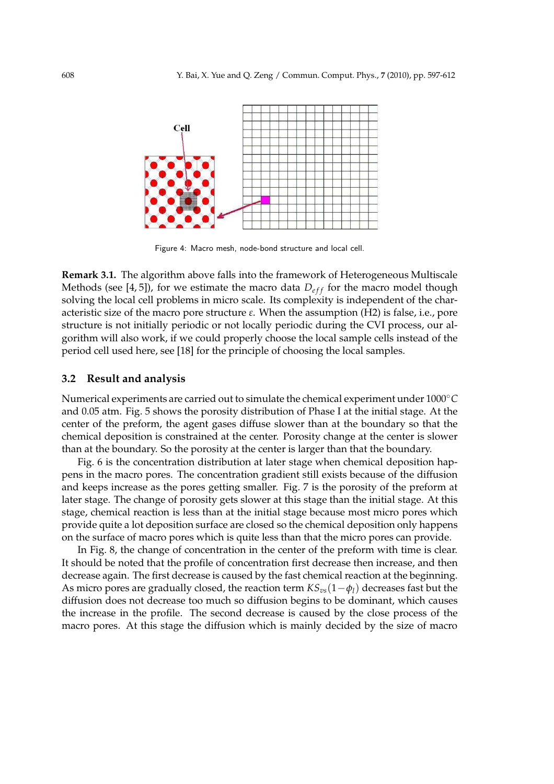

Figure 4: Macro mesh, node-bond structure and local cell.

**Remark 3.1.** The algorithm above falls into the framework of Heterogeneous Multiscale Methods (see [4, 5]), for we estimate the macro data  $D_{eff}$  for the macro model though solving the local cell problems in micro scale. Its complexity is independent of the characteristic size of the macro pore structure *ε*. When the assumption (H2) is false, i.e., pore structure is not initially periodic or not locally periodic during the CVI process, our algorithm will also work, if we could properly choose the local sample cells instead of the period cell used here, see [18] for the principle of choosing the local samples.

#### **3.2 Result and analysis**

Numerical experiments are carried out to simulate the chemical experiment under 1000◦*C* and 0.05 atm. Fig. 5 shows the porosity distribution of Phase I at the initial stage. At the center of the preform, the agent gases diffuse slower than at the boundary so that the chemical deposition is constrained at the center. Porosity change at the center is slower than at the boundary. So the porosity at the center is larger than that the boundary.

Fig. 6 is the concentration distribution at later stage when chemical deposition happens in the macro pores. The concentration gradient still exists because of the diffusion and keeps increase as the pores getting smaller. Fig. 7 is the porosity of the preform at later stage. The change of porosity gets slower at this stage than the initial stage. At this stage, chemical reaction is less than at the initial stage because most micro pores which provide quite a lot deposition surface are closed so the chemical deposition only happens on the surface of macro pores which is quite less than that the micro pores can provide.

In Fig. 8, the change of concentration in the center of the preform with time is clear. It should be noted that the profile of concentration first decrease then increase, and then decrease again. The first decrease is caused by the fast chemical reaction at the beginning. As micro pores are gradually closed, the reaction term *KSvs*(1−*φl*) decreases fast but the diffusion does not decrease too much so diffusion begins to be dominant, which causes the increase in the profile. The second decrease is caused by the close process of the macro pores. At this stage the diffusion which is mainly decided by the size of macro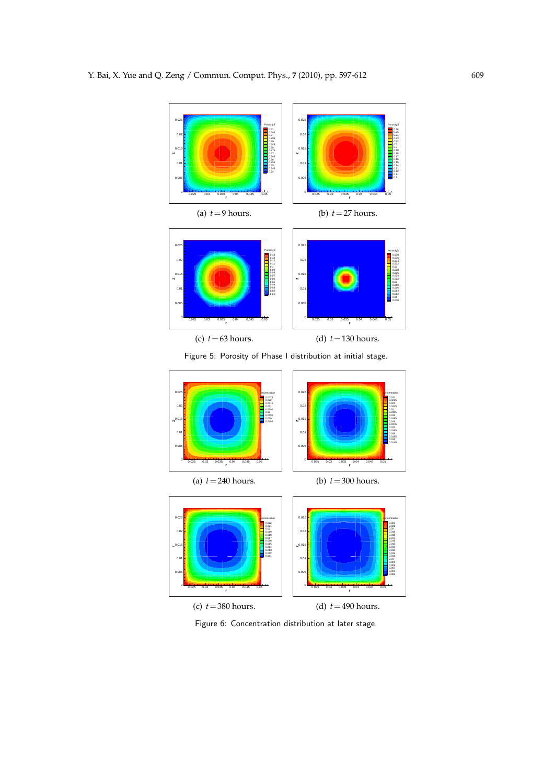

Figure 5: Porosity of Phase I distribution at initial stage.



Figure 6: Concentration distribution at later stage.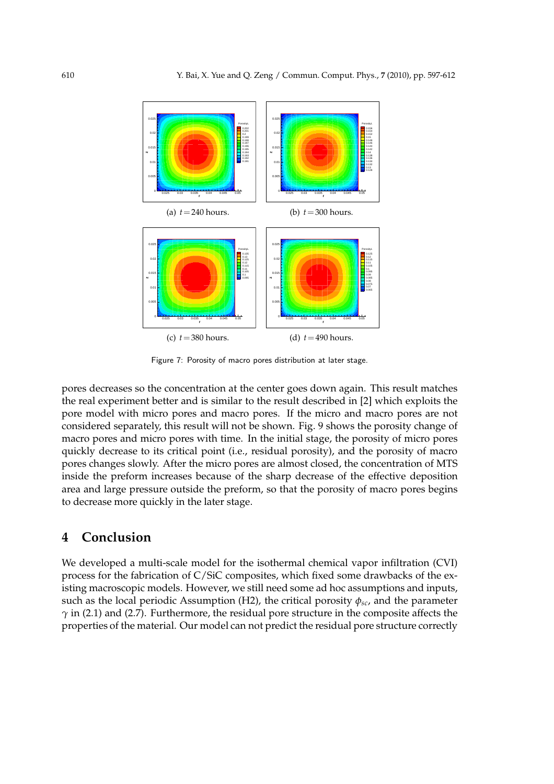

Figure 7: Porosity of macro pores distribution at later stage.

pores decreases so the concentration at the center goes down again. This result matches the real experiment better and is similar to the result described in [2] which exploits the pore model with micro pores and macro pores. If the micro and macro pores are not considered separately, this result will not be shown. Fig. 9 shows the porosity change of macro pores and micro pores with time. In the initial stage, the porosity of micro pores quickly decrease to its critical point (i.e., residual porosity), and the porosity of macro pores changes slowly. After the micro pores are almost closed, the concentration of MTS inside the preform increases because of the sharp decrease of the effective deposition area and large pressure outside the preform, so that the porosity of macro pores begins to decrease more quickly in the later stage.

# **4 Conclusion**

We developed a multi-scale model for the isothermal chemical vapor infiltration (CVI) process for the fabrication of C/SiC composites, which fixed some drawbacks of the existing macroscopic models. However, we still need some ad hoc assumptions and inputs, such as the local periodic Assumption (H2), the critical porosity  $\phi_{sc}$ , and the parameter *γ* in (2.1) and (2.7). Furthermore, the residual pore structure in the composite affects the properties of the material. Our model can not predict the residual pore structure correctly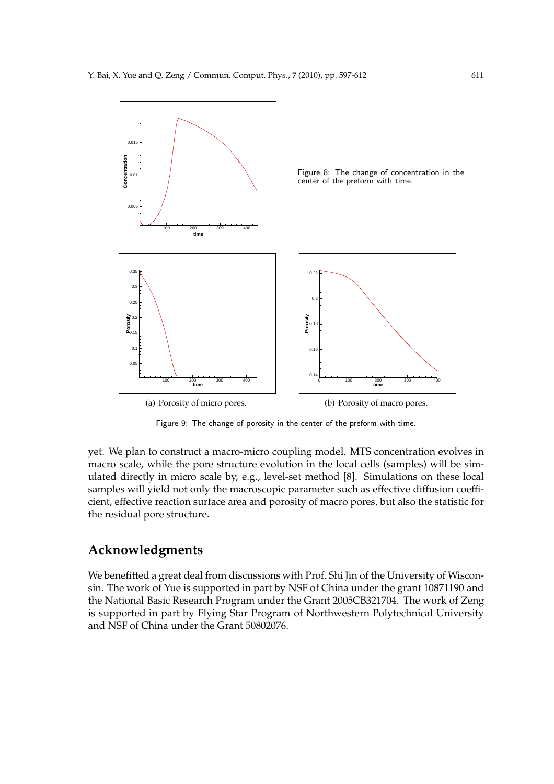

Figure 9: The change of porosity in the center of the preform with time.

yet. We plan to construct a macro-micro coupling model. MTS concentration evolves in macro scale, while the pore structure evolution in the local cells (samples) will be simulated directly in micro scale by, e.g., level-set method [8]. Simulations on these local samples will yield not only the macroscopic parameter such as effective diffusion coefficient, effective reaction surface area and porosity of macro pores, but also the statistic for the residual pore structure.

# **Acknowledgments**

We benefitted a great deal from discussions with Prof. Shi Jin of the University of Wisconsin. The work of Yue is supported in part by NSF of China under the grant 10871190 and the National Basic Research Program under the Grant 2005CB321704. The work of Zeng is supported in part by Flying Star Program of Northwestern Polytechnical University and NSF of China under the Grant 50802076.